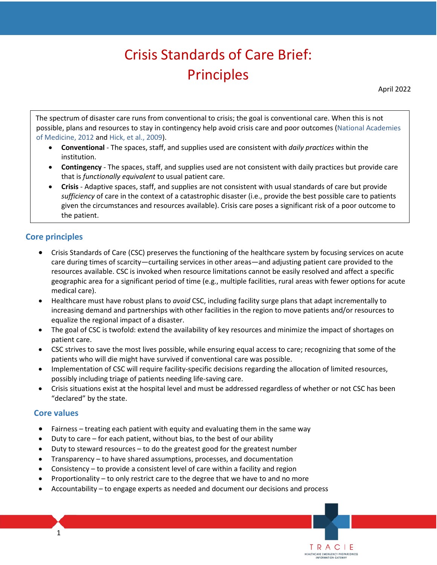# Crisis Standards of Care Brief: Principles

April 2022

The spectrum of disaster care runs from conventional to crisis; the goal is conventional care. When this is not possible, plans and resources to stay in contingency help avoid crisis care and poor outcomes [\(National Academies](https://nap.nationalacademies.org/catalog/13351/crisis-standards-of-care-a-systems-framework-for-catastrophic-disaster)  [of Medicine, 2012](https://nap.nationalacademies.org/catalog/13351/crisis-standards-of-care-a-systems-framework-for-catastrophic-disaster) and [Hick, et al., 2009\)](https://www.ncbi.nlm.nih.gov/pubmed/19349869).

- **Conventional**  The spaces, staff, and supplies used are consistent with *daily practices* within the institution.
- • **Contingency**  The spaces, staff, and supplies used are not consistent with daily practices but provide care that is *functionally equivalent* to usual patient care.
- • **Crisis**  Adaptive spaces, staff, and supplies are not consistent with usual standards of care but provide *sufficiency* of care in the context of a catastrophic disaster (i.e., provide the best possible care to patients given the circumstances and resources available). Crisis care poses a significant risk of a poor outcome to the patient.

## **Core principles**

- Crisis Standards of Care (CSC) preserves the functioning of the healthcare system by focusing services on acute care during times of scarcity—curtailing services in other areas—and adjusting patient care provided to the resources available. CSC is invoked when resource limitations cannot be easily resolved and affect a specific geographic area for a significant period of time (e.g., multiple facilities, rural areas with fewer options for acute medical care).
- • Healthcare must have robust plans to *avoid* CSC, including facility surge plans that adapt incrementally to equalize the regional impact of a disaster. increasing demand and partnerships with other facilities in the region to move patients and/or resources to
- patient care. • The goal of CSC is twofold: extend the availability of key resources and minimize the impact of shortages on
- • CSC strives to save the most lives possible, while ensuring equal access to care; recognizing that some of the patients who will die might have survived if conventional care was possible.
- possibly including triage of patients needing life-saving care. • Implementation of CSC will require facility-specific decisions regarding the allocation of limited resources,
- • Crisis situations exist at the hospital level and must be addressed regardless of whether or not CSC has been "declared" by the state.

TRACIE HEALTHCARE EMERGENCY PREPAREDNESS<br>INFORMATION GATEWAY

### **Core values**

- Fairness treating each patient with equity and evaluating them in the same way
- Duty to care for each patient, without bias, to the best of our ability
- Duty to steward resources to do the greatest good for the greatest number
- Transparency to have shared assumptions, processes, and documentation
- Consistency to provide a consistent level of care within a facility and region
- Proportionality to only restrict care to the degree that we have to and no more
- Accountability to engage experts as needed and document our decisions and process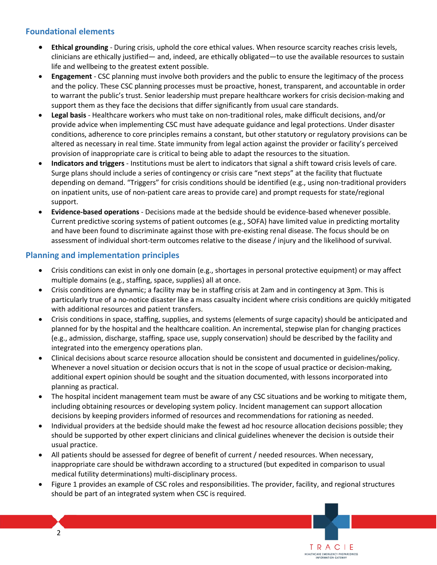# **Foundational elements**

- • **Ethical grounding**  During crisis, uphold the core ethical values. When resource scarcity reaches crisis levels, clinicians are ethically justified— and, indeed, are ethically obligated—to use the available resources to sustain life and wellbeing to the greatest extent possible.
- • **Engagement**  CSC planning must involve both providers and the public to ensure the legitimacy of the process and the policy. These CSC planning processes must be proactive, honest, transparent, and accountable in order to warrant the public's trust. Senior leadership must prepare healthcare workers for crisis decision-making and support them as they face the decisions that differ significantly from usual care standards.
- • **Legal basis**  Healthcare workers who must take on non-traditional roles, make difficult decisions, and/or provide advice when implementing CSC must have adequate guidance and legal protections. Under disaster conditions, adherence to core principles remains a constant, but other statutory or regulatory provisions can be altered as necessary in real time. State immunity from legal action against the provider or facility's perceived provision of inappropriate care is critical to being able to adapt the resources to the situation.
- • **Indicators and triggers**  Institutions must be alert to indicators that signal a shift toward crisis levels of care. on inpatient units, use of non-patient care areas to provide care) and prompt requests for state/regional Surge plans should include a series of contingency or crisis care "next steps" at the facility that fluctuate depending on demand. "Triggers" for crisis conditions should be identified (e.g., using non-traditional providers support.
- • **Evidence-based operations**  Decisions made at the bedside should be evidence-based whenever possible. Current predictive scoring systems of patient outcomes (e.g., SOFA) have limited value in predicting mortality and have been found to discriminate against those with pre-existing renal disease. The focus should be on assessment of individual short-term outcomes relative to the disease / injury and the likelihood of survival.

### **Planning and implementation principles**

- Crisis conditions can exist in only one domain (e.g., shortages in personal protective equipment) or may affect multiple domains (e.g., staffing, space, supplies) all at once.
- particularly true of a no-notice disaster like a mass casualty incident where crisis conditions are quickly mitigated • Crisis conditions are dynamic; a facility may be in staffing crisis at 2am and in contingency at 3pm. This is with additional resources and patient transfers.
- • Crisis conditions in space, staffing, supplies, and systems (elements of surge capacity) should be anticipated and (e.g., admission, discharge, staffing, space use, supply conservation) should be described by the facility and planned for by the hospital and the healthcare coalition. An incremental, stepwise plan for changing practices integrated into the emergency operations plan.
- Clinical decisions about scarce resource allocation should be consistent and documented in guidelines/policy. Whenever a novel situation or decision occurs that is not in the scope of usual practice or decision-making, additional expert opinion should be sought and the situation documented, with lessons incorporated into planning as practical.
- including obtaining resources or developing system policy. Incident management can support allocation • The hospital incident management team must be aware of any CSC situations and be working to mitigate them, decisions by keeping providers informed of resources and recommendations for rationing as needed.
- Individual providers at the bedside should make the fewest ad hoc resource allocation decisions possible; they should be supported by other expert clinicians and clinical guidelines whenever the decision is outside their usual practice.
- All patients should be assessed for degree of benefit of current / needed resources. When necessary, inappropriate care should be withdrawn according to a structured (but expedited in comparison to usual medical futility determinations) multi-disciplinary process.
- Figure 1 provides an example of CSC roles and responsibilities. The provider, facility, and regional structures should be part of an integrated system when CSC is required.

TRACIE HEALTHCARE EMERGENCY PREPAREDNESS<br>INFORMATION GATEWAY